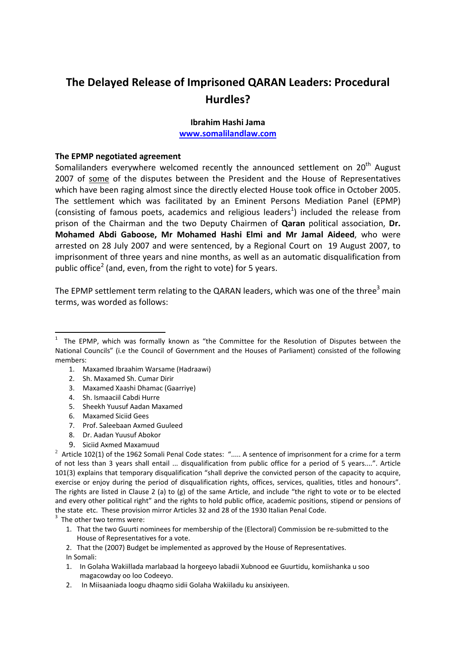# **The Delayed Release of Imprisoned QARAN Leaders: Procedural Hurdles?**

# **Ibrahim Hashi Jama www.somalilandlaw.com**

### **The EPMP negotiated agreement**

Somalilanders everywhere welcomed recently the announced settlement on 20<sup>th</sup> August 2007 of some of the disputes between the President and the House of Representatives which have been raging almost since the directly elected House took office in October 2005. The settlement which was facilitated by an Eminent Persons Mediation Panel (EPMP) (consisting of famous poets, academics and religious leaders<sup>1</sup>) included the release from prison of the Chairman and the two Deputy Chairmen of **Qaran** political association, **Dr. Mohamed Abdi Gaboose, Mr Mohamed Hashi Elmi and Mr Jamal Aideed**, who were arrested on 28 July 2007 and were sentenced, by a Regional Court on 19 August 2007, to imprisonment of three years and nine months, as well as an automatic disqualification from public office<sup>2</sup> (and, even, from the right to vote) for 5 years.

The EPMP settlement term relating to the QARAN leaders, which was one of the three<sup>3</sup> main terms, was worded as follows:

- 1. Maxamed Ibraahim Warsame (Hadraawi)
- 2. Sh. Maxamed Sh. Cumar Dirir
- 3. Maxamed Xaashi Dhamac (Gaarriye)
- 4. Sh. Ismaaciil Cabdi Hurre

- 5. Sheekh Yuusuf Aadan Maxamed
- 6. Maxamed Siciid Gees
- 7. Prof. Saleebaan Axmed Guuleed
- 8. Dr. Aadan Yuusuf Abokor
- 9. Siciid Axmed Maxamuud <sup>2</sup>

 $2$  Article 102(1) of the 1962 Somali Penal Code states: "..... A sentence of imprisonment for a crime for a term of not less than 3 years shall entail ... disqualification from public office for a period of 5 years....". Article 101(3) explains that temporary disqualification "shall deprive the convicted person of the capacity to acquire, exercise or enjoy during the period of disqualification rights, offices, services, qualities, titles and honours". The rights are listed in Clause 2 (a) to (g) of the same Article, and include "the right to vote or to be elected and every other political right" and the rights to hold public office, academic positions, stipend or pensions of the state etc. These provision mirror Articles 32 and 28 of the 1930 Italian Penal Code.

 $3$  The other two terms were:

- 1. That the two Guurti nominees for membership of the (Electoral) Commission be re‐submitted to the House of Representatives for a vote.
- 2. That the (2007) Budget be implemented as approved by the House of Representatives.

In Somali:

- 1. In Golaha Wakiillada marlabaad la horgeeyo labadii Xubnood ee Guurtidu, komiishanka u soo magacowday oo loo Codeeyo.
- 2. In Miisaaniada loogu dhaqmo sidii Golaha Wakiiladu ku ansixiyeen.

<sup>1</sup> The EPMP, which was formally known as "the Committee for the Resolution of Disputes between the National Councils" (i.e the Council of Government and the Houses of Parliament) consisted of the following members: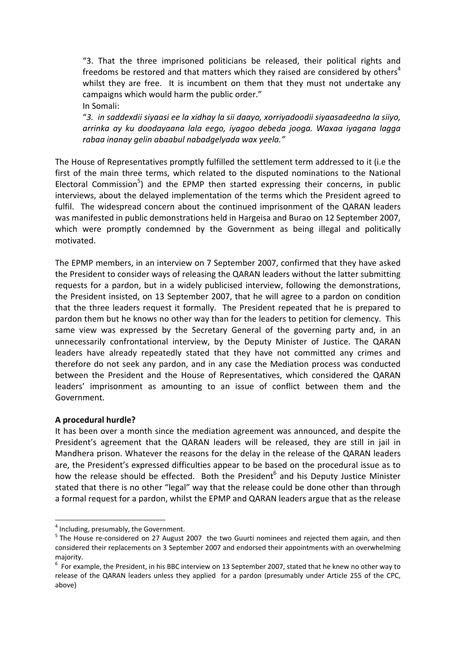"3. That the three imprisoned politicians be released, their political rights and freedoms be restored and that matters which they raised are considered by others<sup>4</sup> whilst they are free. It is incumbent on them that they must not undertake any campaigns which would harm the public order." In Somali:

"*3. in saddexdii siyaasi ee la xidhay la sii daayo, xorriyadoodii siyaasadeedna la siiyo, arrinka ay ku doodayaana lala eego, iyagoo debeda jooga. Waxaa iyagana lagga rabaa inanay gelin abaabul nabadgelyada wax yeela."*

The House of Representatives promptly fulfilled the settlement term addressed to it (i.e the first of the main three terms, which related to the disputed nominations to the National Electoral Commission<sup>5</sup>) and the EPMP then started expressing their concerns, in public interviews, about the delayed implementation of the terms which the President agreed to fulfil. The widespread concern about the continued imprisonment of the QARAN leaders was manifested in public demonstrations held in Hargeisa and Burao on 12 September 2007, which were promptly condemned by the Government as being illegal and politically motivated.

The EPMP members, in an interview on 7 September 2007, confirmed that they have asked the President to consider ways of releasing the QARAN leaders without the latter submitting requests for a pardon, but in a widely publicised interview, following the demonstrations, the President insisted, on 13 September 2007, that he will agree to a pardon on condition that the three leaders request it formally. The President repeated that he is prepared to pardon them but he knows no other way than for the leaders to petition for clemency. This same view was expressed by the Secretary General of the governing party and, in an unnecessarily confrontational interview, by the Deputy Minister of Justice. The QARAN leaders have already repeatedly stated that they have not committed any crimes and therefore do not seek any pardon, and in any case the Mediation process was conducted between the President and the House of Representatives, which considered the QARAN leaders' imprisonment as amounting to an issue of conflict between them and the Government.

# **A procedural hurdle?**

It has been over a month since the mediation agreement was announced, and despite the President's agreement that the QARAN leaders will be released, they are still in jail in Mandhera prison. Whatever the reasons for the delay in the release of the QARAN leaders are, the President's expressed difficulties appear to be based on the procedural issue as to how the release should be effected. Both the President<sup>6</sup> and his Deputy Justice Minister stated that there is no other "legal" way that the release could be done other than through a formal request for a pardon, whilst the EPMP and QARAN leaders argue that as the release

<sup>&</sup>lt;sup>4</sup> Including, presumably, the Government.<br><sup>5</sup> The House re-considered on 27 August 2007 the two Guurti nominees and rejected them again, and then considered their replacements on 3 September 2007 and endorsed their appointments with an overwhelming majority.

 $<sup>6</sup>$  For example, the President, in his BBC interview on 13 September 2007, stated that he knew no other way to</sup> release of the QARAN leaders unless they applied for a pardon (presumably under Article 255 of the CPC, above)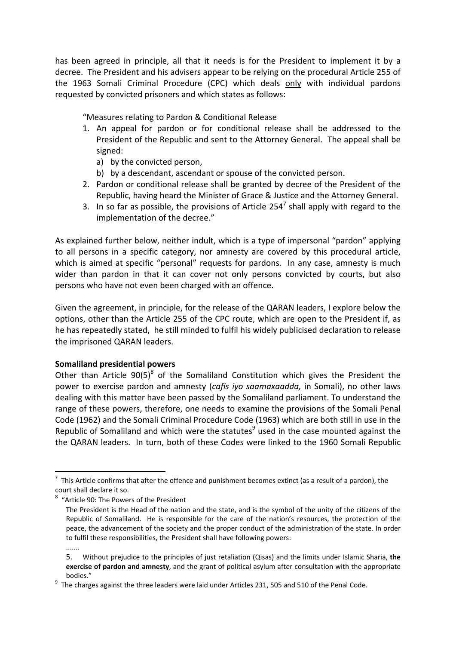has been agreed in principle, all that it needs is for the President to implement it by a decree. The President and his advisers appear to be relying on the procedural Article 255 of the 1963 Somali Criminal Procedure (CPC) which deals only with individual pardons requested by convicted prisoners and which states as follows:

"Measures relating to Pardon & Conditional Release

- 1. An appeal for pardon or for conditional release shall be addressed to the President of the Republic and sent to the Attorney General. The appeal shall be signed:
	- a) by the convicted person,
	- b) by a descendant, ascendant or spouse of the convicted person.
- 2. Pardon or conditional release shall be granted by decree of the President of the Republic, having heard the Minister of Grace & Justice and the Attorney General.
- 3. In so far as possible, the provisions of Article 254<sup>7</sup> shall apply with regard to the implementation of the decree."

As explained further below, neither indult, which is a type of impersonal "pardon" applying to all persons in a specific category, nor amnesty are covered by this procedural article, which is aimed at specific "personal" requests for pardons. In any case, amnesty is much wider than pardon in that it can cover not only persons convicted by courts, but also persons who have not even been charged with an offence.

Given the agreement, in principle, for the release of the QARAN leaders, I explore below the options, other than the Article 255 of the CPC route, which are open to the President if, as he has repeatedly stated, he still minded to fulfil his widely publicised declaration to release the imprisoned QARAN leaders.

## **Somaliland presidential powers**

Other than Article  $90(5)^8$  of the Somaliland Constitution which gives the President the power to exercise pardon and amnesty (*cafis iyo saamaxaadda,* in Somali), no other laws dealing with this matter have been passed by the Somaliland parliament. To understand the range of these powers, therefore, one needs to examine the provisions of the Somali Penal Code (1962) and the Somali Criminal Procedure Code (1963) which are both still in use in the Republic of Somaliland and which were the statutes<sup>9</sup> used in the case mounted against the the QARAN leaders. In turn, both of these Codes were linked to the 1960 Somali Republic

 $^7$  This Article confirms that after the offence and punishment becomes extinct (as a result of a pardon), the court shall declare it so.

<sup>&</sup>lt;sup>8</sup> "Article 90: The Powers of the President

The President is the Head of the nation and the state, and is the symbol of the unity of the citizens of the Republic of Somaliland. He is responsible for the care of the nation's resources, the protection of the peace, the advancement of the society and the proper conduct of the administration of the state. In order to fulfil these responsibilities, the President shall have following powers:

<sup>.......</sup>

<sup>5.</sup> Without prejudice to the principles of just retaliation (Qisas) and the limits under Islamic Sharia, **the exercise of pardon and amnesty**, and the grant of political asylum after consultation with the appropriate

bodies." <sup>9</sup> The charges against the three leaders were laid under Articles 231, 505 and 510 of the Penal Code.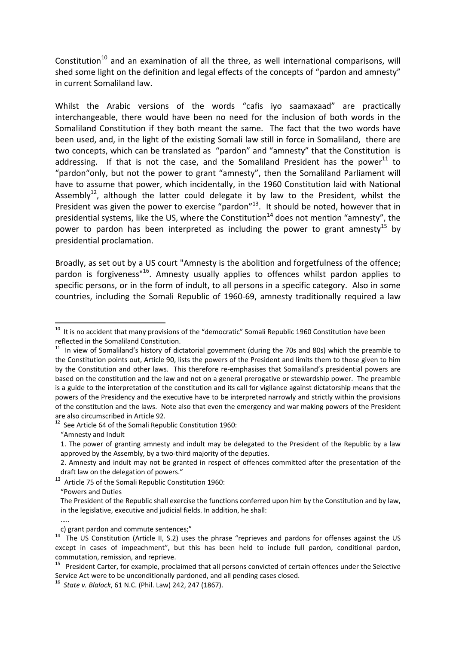Constitution<sup>10</sup> and an examination of all the three, as well international comparisons, will shed some light on the definition and legal effects of the concepts of "pardon and amnesty" in current Somaliland law.

Whilst the Arabic versions of the words "cafis iyo saamaxaad" are practically interchangeable, there would have been no need for the inclusion of both words in the Somaliland Constitution if they both meant the same. The fact that the two words have been used, and, in the light of the existing Somali law still in force in Somaliland, there are two concepts, which can be translated as "pardon" and "amnesty" that the Constitution is addressing. If that is not the case, and the Somaliland President has the power<sup>11</sup> to "pardon"only, but not the power to grant "amnesty", then the Somaliland Parliament will have to assume that power, which incidentally, in the 1960 Constitution laid with National Assembly $^{12}$ , although the latter could delegate it by law to the President, whilst the President was given the power to exercise "pardon"<sup>13</sup>. It should be noted, however that in presidential systems, like the US, where the Constitution<sup>14</sup> does not mention "amnesty", the power to pardon has been interpreted as including the power to grant amnesty<sup>15</sup> by presidential proclamation.

Broadly, as set out by a US court "Amnesty is the abolition and forgetfulness of the offence; pardon is forgiveness<sup>"16</sup>. Amnesty usually applies to offences whilst pardon applies to specific persons, or in the form of indult, to all persons in a specific category. Also in some countries, including the Somali Republic of 1960‐69, amnesty traditionally required a law

"Amnesty and Indult

<sup>13</sup> Article 75 of the Somali Republic Constitution 1960:

"Powers and Duties

…..

 $10$  It is no accident that many provisions of the "democratic" Somali Republic 1960 Constitution have been reflected in the Somaliland Constitution.<br><sup>11</sup> In view of Somaliland's history of dictatorial government (during the 70s and 80s) which the preamble to

the Constitution points out, Article 90, lists the powers of the President and limits them to those given to him by the Constitution and other laws. This therefore re-emphasises that Somaliland's presidential powers are based on the constitution and the law and not on a general prerogative or stewardship power. The preamble is a guide to the interpretation of the constitution and its call for vigilance against dictatorship means that the powers of the Presidency and the executive have to be interpreted narrowly and strictly within the provisions of the constitution and the laws. Note also that even the emergency and war making powers of the President are also circumscribed in Article 92.<br><sup>12</sup> See Article 64 of the Somali Republic Constitution 1960:

<sup>1.</sup> The power of granting amnesty and indult may be delegated to the President of the Republic by a law approved by the Assembly, by a two-third majority of the deputies.

<sup>2.</sup> Amnesty and indult may not be granted in respect of offences committed after the presentation of the draft law on the delegation of powers."

The President of the Republic shall exercise the functions conferred upon him by the Constitution and by law, in the legislative, executive and judicial fields. In addition, he shall:

c) grant pardon and commute sentences;"<br><sup>14</sup> The US Constitution (Article II, S.2) uses the phrase "reprieves and pardons for offenses against the US except in cases of impeachment", but this has been held to include full pardon, conditional pardon, commutation, remission, and reprieve.<br><sup>15</sup> President Carter, for example, proclaimed that all persons convicted of certain offences under the Selective

Service Act were to be unconditionally pardoned, and all pending cases closed.<br><sup>16</sup> *State v. Blalock*, 61 N.C. (Phil. Law) 242, 247 (1867).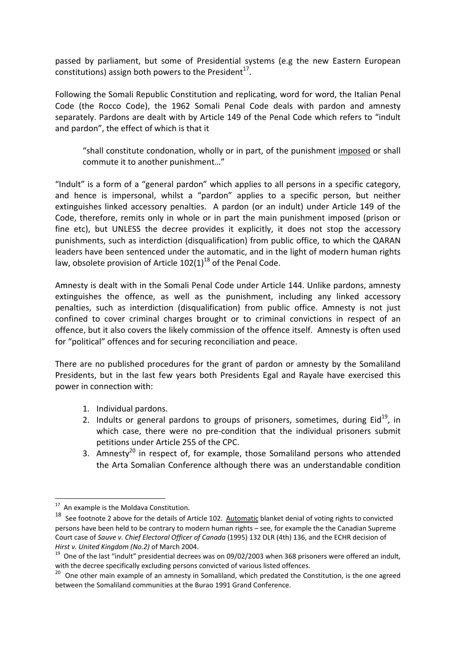passed by parliament, but some of Presidential systems (e.g the new Eastern European constitutions) assign both powers to the President<sup>17</sup>.

Following the Somali Republic Constitution and replicating, word for word, the Italian Penal Code (the Rocco Code), the 1962 Somali Penal Code deals with pardon and amnesty separately. Pardons are dealt with by Article 149 of the Penal Code which refers to "indult and pardon", the effect of which is that it

"shall constitute condonation, wholly or in part, of the punishment imposed or shall commute it to another punishment…"

"Indult" is a form of a "general pardon" which applies to all persons in a specific category, and hence is impersonal, whilst a "pardon" applies to a specific person, but neither extinguishes linked accessory penalties. A pardon (or an indult) under Article 149 of the Code, therefore, remits only in whole or in part the main punishment imposed (prison or fine etc), but UNLESS the decree provides it explicitly, it does not stop the accessory punishments, such as interdiction (disqualification) from public office, to which the QARAN leaders have been sentenced under the automatic, and in the light of modern human rights law, obsolete provision of Article  $102(1)^{18}$  of the Penal Code.

Amnesty is dealt with in the Somali Penal Code under Article 144. Unlike pardons, amnesty extinguishes the offence, as well as the punishment, including any linked accessory penalties, such as interdiction (disqualification) from public office. Amnesty is not just confined to cover criminal charges brought or to criminal convictions in respect of an offence, but it also covers the likely commission of the offence itself. Amnesty is often used for "political" offences and for securing reconciliation and peace.

There are no published procedures for the grant of pardon or amnesty by the Somaliland Presidents, but in the last few years both Presidents Egal and Rayale have exercised this power in connection with:

- 1. Individual pardons.
- 2. Indults or general pardons to groups of prisoners, sometimes, during  $Eid<sup>19</sup>$ , in which case, there were no pre-condition that the individual prisoners submit petitions under Article 255 of the CPC.
- 3. Amnesty<sup>20</sup> in respect of, for example, those Somaliland persons who attended the Arta Somalian Conference although there was an understandable condition

<sup>&</sup>lt;sup>17</sup> An example is the Moldava Constitution.

<sup>&</sup>lt;sup>18</sup> See footnote 2 above for the details of Article 102. Automatic blanket denial of voting rights to convicted persons have been held to be contrary to modern human rights – see, for example the the Canadian Supreme Court case of *Sauve v. Chief Electoral Officer of Canada* (1995) 132 DLR (4th) 136, and the ECHR decision of *Hirst v. United Kingdom (No.2)* of March 2004.<br><sup>19</sup> One of the last "indult" presidential decrees was on 09/02/2003 when 368 prisoners were offered an indult,

with the decree specifically excluding persons convicted of various listed offences.

<sup>&</sup>lt;sup>20</sup> One other main example of an amnesty in Somaliland, which predated the Constitution, is the one agreed between the Somaliland communities at the Burao 1991 Grand Conference.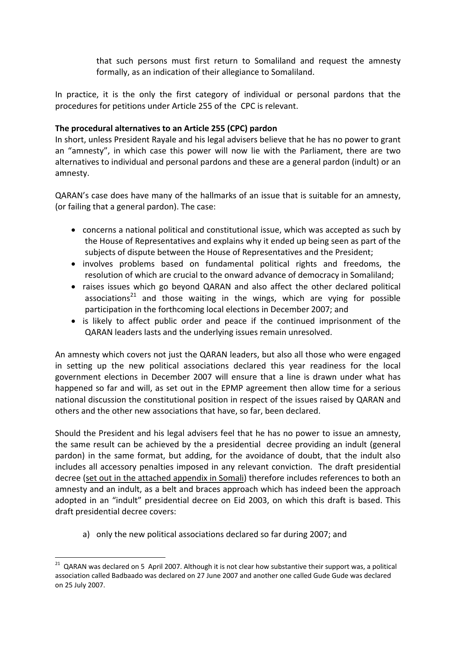that such persons must first return to Somaliland and request the amnesty formally, as an indication of their allegiance to Somaliland.

In practice, it is the only the first category of individual or personal pardons that the procedures for petitions under Article 255 of the CPC is relevant.

# **The procedural alternatives to an Article 255 (CPC) pardon**

In short, unless President Rayale and his legal advisers believe that he has no power to grant an "amnesty", in which case this power will now lie with the Parliament, there are two alternatives to individual and personal pardons and these are a general pardon (indult) or an amnesty.

QARAN's case does have many of the hallmarks of an issue that is suitable for an amnesty, (or failing that a general pardon). The case:

- concerns a national political and constitutional issue, which was accepted as such by the House of Representatives and explains why it ended up being seen as part of the subjects of dispute between the House of Representatives and the President;
- involves problems based on fundamental political rights and freedoms, the resolution of which are crucial to the onward advance of democracy in Somaliland;
- raises issues which go beyond QARAN and also affect the other declared political associations<sup>21</sup> and those waiting in the wings, which are vying for possible participation in the forthcoming local elections in December 2007; and
- is likely to affect public order and peace if the continued imprisonment of the QARAN leaders lasts and the underlying issues remain unresolved.

An amnesty which covers not just the QARAN leaders, but also all those who were engaged in setting up the new political associations declared this year readiness for the local government elections in December 2007 will ensure that a line is drawn under what has happened so far and will, as set out in the EPMP agreement then allow time for a serious national discussion the constitutional position in respect of the issues raised by QARAN and others and the other new associations that have, so far, been declared.

Should the President and his legal advisers feel that he has no power to issue an amnesty, the same result can be achieved by the a presidential decree providing an indult (general pardon) in the same format, but adding, for the avoidance of doubt, that the indult also includes all accessory penalties imposed in any relevant conviction. The draft presidential decree (set out in the attached appendix in Somali) therefore includes references to both an amnesty and an indult, as a belt and braces approach which has indeed been the approach adopted in an "indult" presidential decree on Eid 2003, on which this draft is based. This draft presidential decree covers:

a) only the new political associations declared so far during 2007; and

 $21$  QARAN was declared on 5 April 2007. Although it is not clear how substantive their support was, a political association called Badbaado was declared on 27 June 2007 and another one called Gude Gude was declared on 25 July 2007.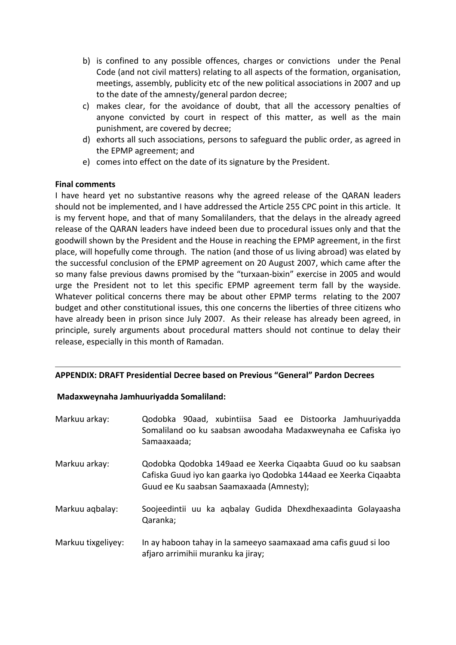- b) is confined to any possible offences, charges or convictions under the Penal Code (and not civil matters) relating to all aspects of the formation, organisation, meetings, assembly, publicity etc of the new political associations in 2007 and up to the date of the amnesty/general pardon decree;
- c) makes clear, for the avoidance of doubt, that all the accessory penalties of anyone convicted by court in respect of this matter, as well as the main punishment, are covered by decree;
- d) exhorts all such associations, persons to safeguard the public order, as agreed in the EPMP agreement; and
- e) comes into effect on the date of its signature by the President.

# **Final comments**

I have heard yet no substantive reasons why the agreed release of the QARAN leaders should not be implemented, and I have addressed the Article 255 CPC point in this article. It is my fervent hope, and that of many Somalilanders, that the delays in the already agreed release of the QARAN leaders have indeed been due to procedural issues only and that the goodwill shown by the President and the House in reaching the EPMP agreement, in the first place, will hopefully come through. The nation (and those of us living abroad) was elated by the successful conclusion of the EPMP agreement on 20 August 2007, which came after the so many false previous dawns promised by the "turxaan‐bixin" exercise in 2005 and would urge the President not to let this specific EPMP agreement term fall by the wayside. Whatever political concerns there may be about other EPMP terms relating to the 2007 budget and other constitutional issues, this one concerns the liberties of three citizens who have already been in prison since July 2007. As their release has already been agreed, in principle, surely arguments about procedural matters should not continue to delay their release, especially in this month of Ramadan.

## **APPENDIX: DRAFT Presidential Decree based on Previous "General" Pardon Decrees**

## **Madaxweynaha Jamhuuriyadda Somaliland:**

| Markuu arkay:      | Qodobka 90aad, xubintiisa 5aad ee Distoorka Jamhuuriyadda<br>Somaliland oo ku saabsan awoodaha Madaxweynaha ee Cafiska iyo<br>Samaaxaada;                                     |
|--------------------|-------------------------------------------------------------------------------------------------------------------------------------------------------------------------------|
| Markuu arkay:      | Qodobka Qodobka 149aad ee Xeerka Cigaabta Guud oo ku saabsan<br>Cafiska Guud iyo kan gaarka iyo Qodobka 144aad ee Xeerka Ciqaabta<br>Guud ee Ku saabsan Saamaxaada (Amnesty); |
| Markuu aqbalay:    | Soojeedintii uu ka agbalay Gudida Dhexdhexaadinta Golayaasha<br>Qaranka;                                                                                                      |
| Markuu tixgeliyey: | In ay haboon tahay in la sameeyo saamaxaad ama cafis guud si loo<br>afjaro arrimihii muranku ka jiray;                                                                        |